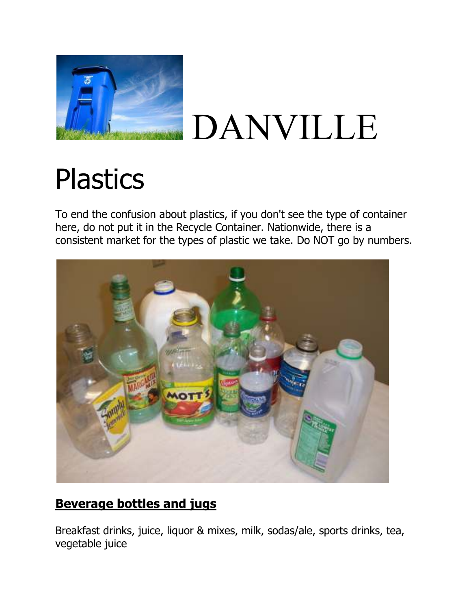

# DANVILLE

## **Plastics**

To end the confusion about plastics, if you don't see the type of container here, do not put it in the Recycle Container. Nationwide, there is a consistent market for the types of plastic we take. Do NOT go by numbers.



### **Beverage bottles and jugs**

Breakfast drinks, juice, liquor & mixes, milk, sodas/ale, sports drinks, tea, vegetable juice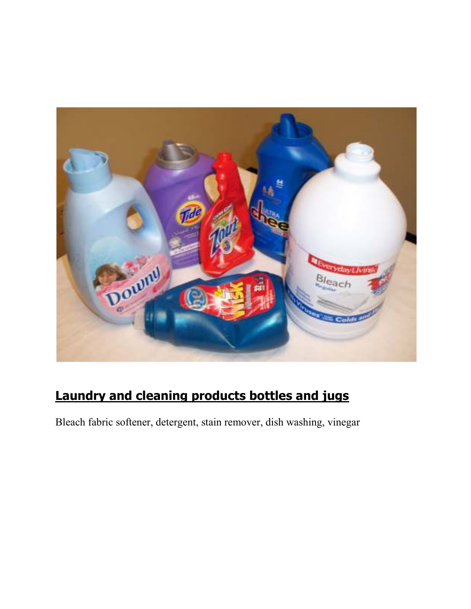

## **Laundry and cleaning products bottles and jugs**

Bleach fabric softener, detergent, stain remover, dish washing, vinegar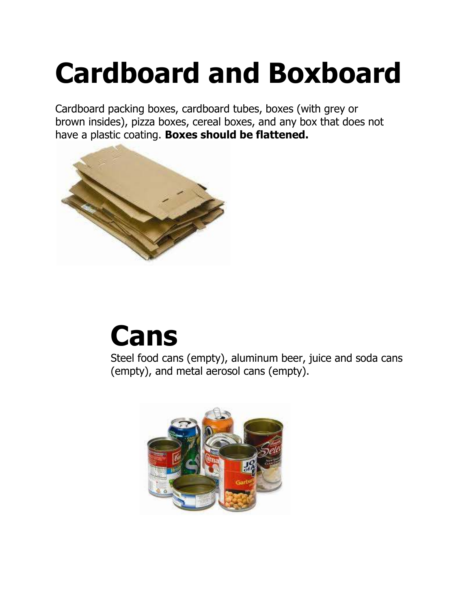## **Cardboard and Boxboard**

Cardboard packing boxes, cardboard tubes, boxes (with grey or brown insides), pizza boxes, cereal boxes, and any box that does not have a plastic coating. **Boxes should be flattened.** 



## **Cans**

Steel food cans (empty), aluminum beer, juice and soda cans (empty), and metal aerosol cans (empty).

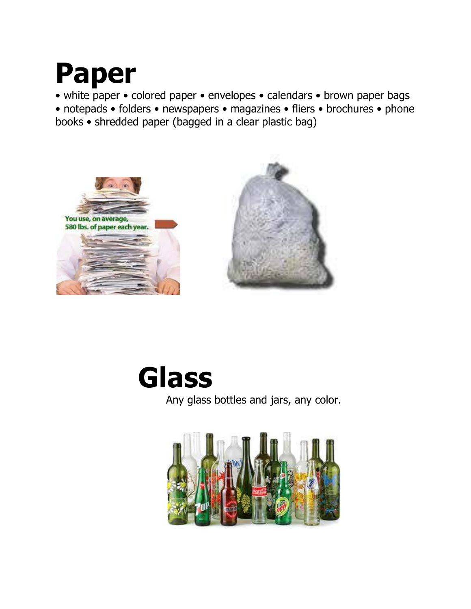## **Paper**

• white paper • colored paper • envelopes • calendars • brown paper bags • notepads • folders • newspapers • magazines • fliers • brochures • phone books • shredded paper (bagged in a clear plastic bag)







Any glass bottles and jars, any color.

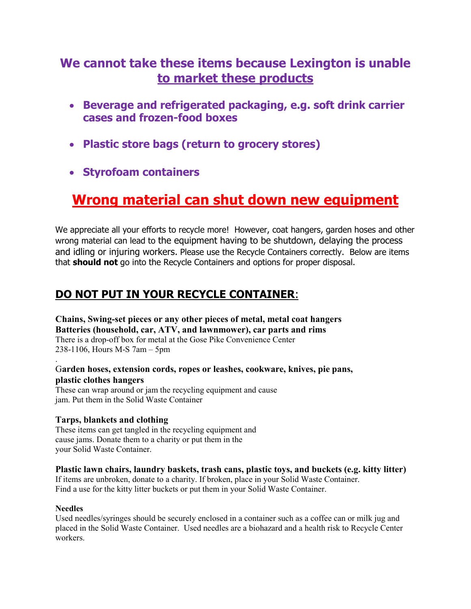### **We cannot take these items because Lexington is unable to market these products**

- **Beverage and refrigerated packaging, e.g. soft drink carrier cases and frozen-food boxes**
- **Plastic store bags (return to grocery stores)**
- **Styrofoam containers**

### **Wrong material can shut down new equipment**

We appreciate all your efforts to recycle more! However, coat hangers, garden hoses and other wrong material can lead to the equipment having to be shutdown, delaying the process and idling or injuring workers. Please use the Recycle Containers correctly. Below are items that **should not** go into the Recycle Containers and options for proper disposal.

### **DO NOT PUT IN YOUR RECYCLE CONTAINER**:

**Chains, Swing-set pieces or any other pieces of metal, metal coat hangers Batteries (household, car, ATV, and lawnmower), car parts and rims**  There is a drop-off box for metal at the Gose Pike Convenience Center 238-1106, Hours M-S 7am – 5pm

### G**arden hoses, extension cords, ropes or leashes, cookware, knives, pie pans, plastic clothes hangers**

These can wrap around or jam the recycling equipment and cause jam. Put them in the Solid Waste Container

### **Tarps, blankets and clothing**

These items can get tangled in the recycling equipment and cause jams. Donate them to a charity or put them in the your Solid Waste Container.

### **Plastic lawn chairs, laundry baskets, trash cans, plastic toys, and buckets (e.g. kitty litter)**

If items are unbroken, donate to a charity. If broken, place in your Solid Waste Container. Find a use for the kitty litter buckets or put them in your Solid Waste Container.

#### **Needles**

.

Used needles/syringes should be securely enclosed in a container such as a coffee can or milk jug and placed in the Solid Waste Container. Used needles are a biohazard and a health risk to Recycle Center workers.